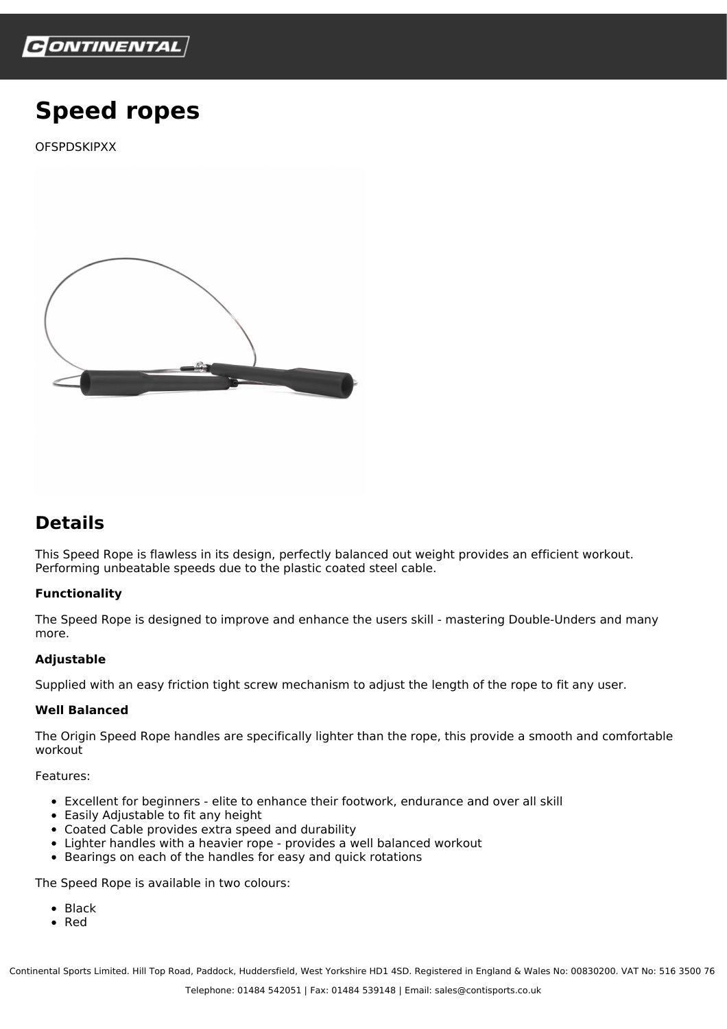

# **Speed ropes**

**OFSPDSKIPXX** 



# **Details**

This Speed Rope is flawless in its design, perfectly balanced out weight provides an efficient workout. Performing unbeatable speeds due to the plastic coated steel cable.

## **Functionality**

The Speed Rope is designed to improve and enhance the users skill - mastering Double-Unders and many more.

#### **Adjustable**

Supplied with an easy friction tight screw mechanism to adjust the length of the rope to fit any user.

### **Well Balanced**

The Origin Speed Rope handles are specifically lighter than the rope, this provide a smooth and comfortable workout

Features:

- Excellent for beginners elite to enhance their footwork, endurance and over all skill
- Easily Adjustable to fit any height
- Coated Cable provides extra speed and durability
- Lighter handles with a heavier rope provides a well balanced workout  $\bullet$
- Bearings on each of the handles for easy and quick rotations

The Speed Rope is available in two colours:

- Black
- Red